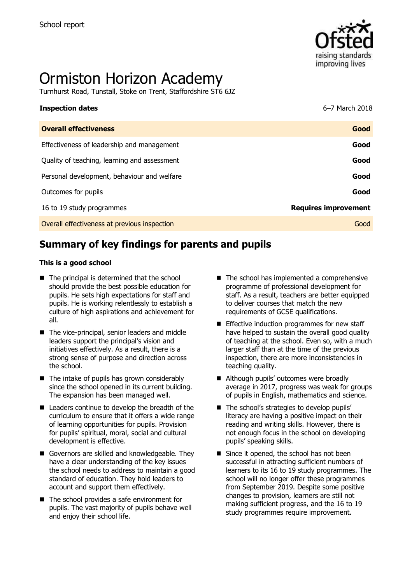

# Ormiston Horizon Academy

Turnhurst Road, Tunstall, Stoke on Trent, Staffordshire ST6 6JZ

| <b>Inspection dates</b>                      | 6–7 March 2018              |
|----------------------------------------------|-----------------------------|
| <b>Overall effectiveness</b>                 | Good                        |
| Effectiveness of leadership and management   | Good                        |
| Quality of teaching, learning and assessment | Good                        |
| Personal development, behaviour and welfare  | Good                        |
| Outcomes for pupils                          | Good                        |
| 16 to 19 study programmes                    | <b>Requires improvement</b> |
| Overall effectiveness at previous inspection | Good                        |
|                                              |                             |

# **Summary of key findings for parents and pupils**

#### **This is a good school**

- $\blacksquare$  The principal is determined that the school should provide the best possible education for pupils. He sets high expectations for staff and pupils. He is working relentlessly to establish a culture of high aspirations and achievement for all.
- The vice-principal, senior leaders and middle leaders support the principal's vision and initiatives effectively. As a result, there is a strong sense of purpose and direction across the school.
- The intake of pupils has grown considerably since the school opened in its current building. The expansion has been managed well.
- Leaders continue to develop the breadth of the curriculum to ensure that it offers a wide range of learning opportunities for pupils. Provision for pupils' spiritual, moral, social and cultural development is effective.
- Governors are skilled and knowledgeable. They have a clear understanding of the key issues the school needs to address to maintain a good standard of education. They hold leaders to account and support them effectively.
- The school provides a safe environment for pupils. The vast majority of pupils behave well and enjoy their school life.
- $\blacksquare$  The school has implemented a comprehensive programme of professional development for staff. As a result, teachers are better equipped to deliver courses that match the new requirements of GCSE qualifications.
- $\blacksquare$  Effective induction programmes for new staff have helped to sustain the overall good quality of teaching at the school. Even so, with a much larger staff than at the time of the previous inspection, there are more inconsistencies in teaching quality.
- Although pupils' outcomes were broadly average in 2017, progress was weak for groups of pupils in English, mathematics and science.
- The school's strategies to develop pupils' literacy are having a positive impact on their reading and writing skills. However, there is not enough focus in the school on developing pupils' speaking skills.
- Since it opened, the school has not been successful in attracting sufficient numbers of learners to its 16 to 19 study programmes. The school will no longer offer these programmes from September 2019. Despite some positive changes to provision, learners are still not making sufficient progress, and the 16 to 19 study programmes require improvement.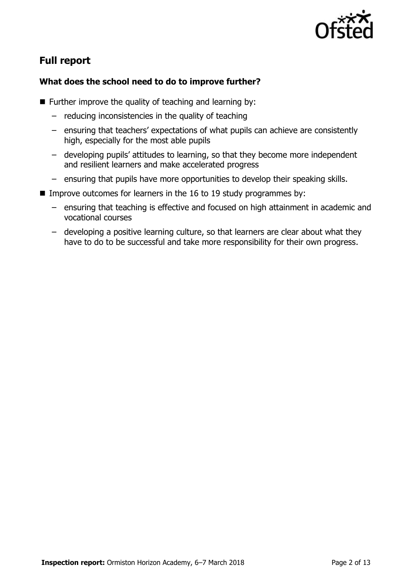

# **Full report**

### **What does the school need to do to improve further?**

- **Further improve the quality of teaching and learning by:** 
	- reducing inconsistencies in the quality of teaching
	- ensuring that teachers' expectations of what pupils can achieve are consistently high, especially for the most able pupils
	- developing pupils' attitudes to learning, so that they become more independent and resilient learners and make accelerated progress
	- ensuring that pupils have more opportunities to develop their speaking skills.
- Improve outcomes for learners in the 16 to 19 study programmes by:
	- ensuring that teaching is effective and focused on high attainment in academic and vocational courses
	- developing a positive learning culture, so that learners are clear about what they have to do to be successful and take more responsibility for their own progress.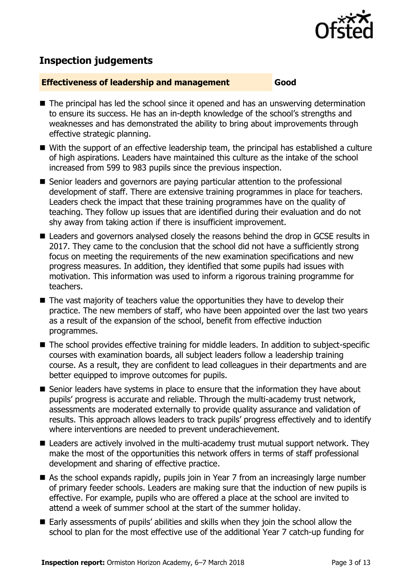

# **Inspection judgements**

#### **Effectiveness of leadership and management Good**

- The principal has led the school since it opened and has an unswerving determination to ensure its success. He has an in-depth knowledge of the school's strengths and weaknesses and has demonstrated the ability to bring about improvements through effective strategic planning.
- With the support of an effective leadership team, the principal has established a culture of high aspirations. Leaders have maintained this culture as the intake of the school increased from 599 to 983 pupils since the previous inspection.
- Senior leaders and governors are paying particular attention to the professional development of staff. There are extensive training programmes in place for teachers. Leaders check the impact that these training programmes have on the quality of teaching. They follow up issues that are identified during their evaluation and do not shy away from taking action if there is insufficient improvement.
- Leaders and governors analysed closely the reasons behind the drop in GCSE results in 2017. They came to the conclusion that the school did not have a sufficiently strong focus on meeting the requirements of the new examination specifications and new progress measures. In addition, they identified that some pupils had issues with motivation. This information was used to inform a rigorous training programme for teachers.
- The vast majority of teachers value the opportunities they have to develop their practice. The new members of staff, who have been appointed over the last two years as a result of the expansion of the school, benefit from effective induction programmes.
- The school provides effective training for middle leaders. In addition to subject-specific courses with examination boards, all subject leaders follow a leadership training course. As a result, they are confident to lead colleagues in their departments and are better equipped to improve outcomes for pupils.
- Senior leaders have systems in place to ensure that the information they have about pupils' progress is accurate and reliable. Through the multi-academy trust network, assessments are moderated externally to provide quality assurance and validation of results. This approach allows leaders to track pupils' progress effectively and to identify where interventions are needed to prevent underachievement.
- Leaders are actively involved in the multi-academy trust mutual support network. They make the most of the opportunities this network offers in terms of staff professional development and sharing of effective practice.
- As the school expands rapidly, pupils join in Year 7 from an increasingly large number of primary feeder schools. Leaders are making sure that the induction of new pupils is effective. For example, pupils who are offered a place at the school are invited to attend a week of summer school at the start of the summer holiday.
- Early assessments of pupils' abilities and skills when they join the school allow the school to plan for the most effective use of the additional Year 7 catch-up funding for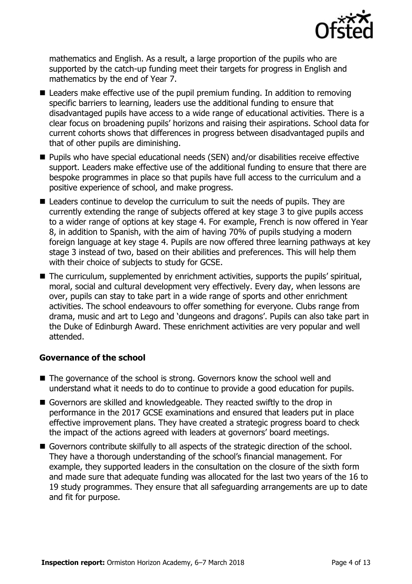

mathematics and English. As a result, a large proportion of the pupils who are supported by the catch-up funding meet their targets for progress in English and mathematics by the end of Year 7.

- Leaders make effective use of the pupil premium funding. In addition to removing specific barriers to learning, leaders use the additional funding to ensure that disadvantaged pupils have access to a wide range of educational activities. There is a clear focus on broadening pupils' horizons and raising their aspirations. School data for current cohorts shows that differences in progress between disadvantaged pupils and that of other pupils are diminishing.
- Pupils who have special educational needs (SEN) and/or disabilities receive effective support. Leaders make effective use of the additional funding to ensure that there are bespoke programmes in place so that pupils have full access to the curriculum and a positive experience of school, and make progress.
- Leaders continue to develop the curriculum to suit the needs of pupils. They are currently extending the range of subjects offered at key stage 3 to give pupils access to a wider range of options at key stage 4. For example, French is now offered in Year 8, in addition to Spanish, with the aim of having 70% of pupils studying a modern foreign language at key stage 4. Pupils are now offered three learning pathways at key stage 3 instead of two, based on their abilities and preferences. This will help them with their choice of subjects to study for GCSE.
- The curriculum, supplemented by enrichment activities, supports the pupils' spiritual, moral, social and cultural development very effectively. Every day, when lessons are over, pupils can stay to take part in a wide range of sports and other enrichment activities. The school endeavours to offer something for everyone. Clubs range from drama, music and art to Lego and 'dungeons and dragons'. Pupils can also take part in the Duke of Edinburgh Award. These enrichment activities are very popular and well attended.

#### **Governance of the school**

- The governance of the school is strong. Governors know the school well and understand what it needs to do to continue to provide a good education for pupils.
- Governors are skilled and knowledgeable. They reacted swiftly to the drop in performance in the 2017 GCSE examinations and ensured that leaders put in place effective improvement plans. They have created a strategic progress board to check the impact of the actions agreed with leaders at governors' board meetings.
- Governors contribute skilfully to all aspects of the strategic direction of the school. They have a thorough understanding of the school's financial management. For example, they supported leaders in the consultation on the closure of the sixth form and made sure that adequate funding was allocated for the last two years of the 16 to 19 study programmes. They ensure that all safeguarding arrangements are up to date and fit for purpose.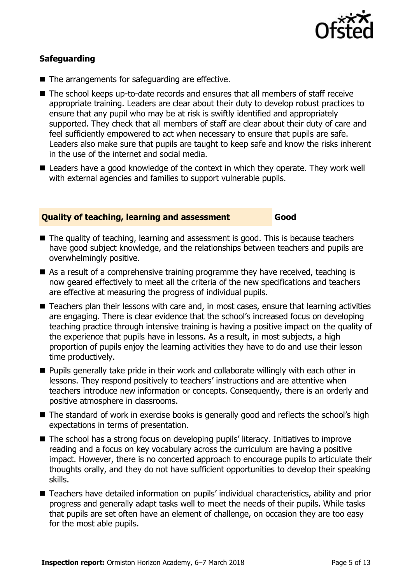

#### **Safeguarding**

- The arrangements for safeguarding are effective.
- The school keeps up-to-date records and ensures that all members of staff receive appropriate training. Leaders are clear about their duty to develop robust practices to ensure that any pupil who may be at risk is swiftly identified and appropriately supported. They check that all members of staff are clear about their duty of care and feel sufficiently empowered to act when necessary to ensure that pupils are safe. Leaders also make sure that pupils are taught to keep safe and know the risks inherent in the use of the internet and social media.
- Leaders have a good knowledge of the context in which they operate. They work well with external agencies and families to support vulnerable pupils.

#### **Quality of teaching, learning and assessment Good**

- The quality of teaching, learning and assessment is good. This is because teachers have good subject knowledge, and the relationships between teachers and pupils are overwhelmingly positive.
- As a result of a comprehensive training programme they have received, teaching is now geared effectively to meet all the criteria of the new specifications and teachers are effective at measuring the progress of individual pupils.
- Teachers plan their lessons with care and, in most cases, ensure that learning activities are engaging. There is clear evidence that the school's increased focus on developing teaching practice through intensive training is having a positive impact on the quality of the experience that pupils have in lessons. As a result, in most subjects, a high proportion of pupils enjoy the learning activities they have to do and use their lesson time productively.
- **Pupils generally take pride in their work and collaborate willingly with each other in** lessons. They respond positively to teachers' instructions and are attentive when teachers introduce new information or concepts. Consequently, there is an orderly and positive atmosphere in classrooms.
- The standard of work in exercise books is generally good and reflects the school's high expectations in terms of presentation.
- The school has a strong focus on developing pupils' literacy. Initiatives to improve reading and a focus on key vocabulary across the curriculum are having a positive impact. However, there is no concerted approach to encourage pupils to articulate their thoughts orally, and they do not have sufficient opportunities to develop their speaking skills.
- Teachers have detailed information on pupils' individual characteristics, ability and prior progress and generally adapt tasks well to meet the needs of their pupils. While tasks that pupils are set often have an element of challenge, on occasion they are too easy for the most able pupils.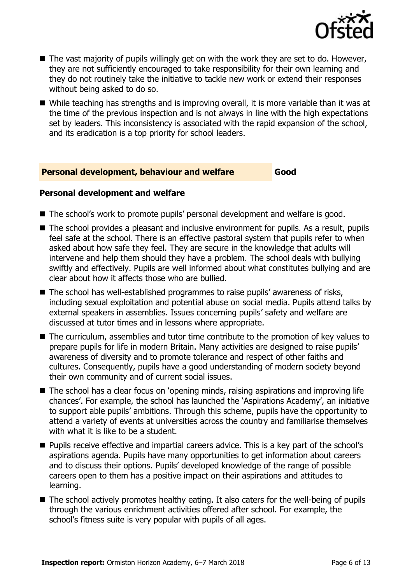

- $\blacksquare$  The vast majority of pupils willingly get on with the work they are set to do. However, they are not sufficiently encouraged to take responsibility for their own learning and they do not routinely take the initiative to tackle new work or extend their responses without being asked to do so.
- While teaching has strengths and is improving overall, it is more variable than it was at the time of the previous inspection and is not always in line with the high expectations set by leaders. This inconsistency is associated with the rapid expansion of the school, and its eradication is a top priority for school leaders.

#### **Personal development, behaviour and welfare Good**

#### **Personal development and welfare**

- The school's work to promote pupils' personal development and welfare is good.
- The school provides a pleasant and inclusive environment for pupils. As a result, pupils feel safe at the school. There is an effective pastoral system that pupils refer to when asked about how safe they feel. They are secure in the knowledge that adults will intervene and help them should they have a problem. The school deals with bullying swiftly and effectively. Pupils are well informed about what constitutes bullying and are clear about how it affects those who are bullied.
- The school has well-established programmes to raise pupils' awareness of risks, including sexual exploitation and potential abuse on social media. Pupils attend talks by external speakers in assemblies. Issues concerning pupils' safety and welfare are discussed at tutor times and in lessons where appropriate.
- The curriculum, assemblies and tutor time contribute to the promotion of key values to prepare pupils for life in modern Britain. Many activities are designed to raise pupils' awareness of diversity and to promote tolerance and respect of other faiths and cultures. Consequently, pupils have a good understanding of modern society beyond their own community and of current social issues.
- The school has a clear focus on 'opening minds, raising aspirations and improving life chances'. For example, the school has launched the 'Aspirations Academy', an initiative to support able pupils' ambitions. Through this scheme, pupils have the opportunity to attend a variety of events at universities across the country and familiarise themselves with what it is like to be a student.
- **Pupils receive effective and impartial careers advice. This is a key part of the school's** aspirations agenda. Pupils have many opportunities to get information about careers and to discuss their options. Pupils' developed knowledge of the range of possible careers open to them has a positive impact on their aspirations and attitudes to learning.
- The school actively promotes healthy eating. It also caters for the well-being of pupils through the various enrichment activities offered after school. For example, the school's fitness suite is very popular with pupils of all ages.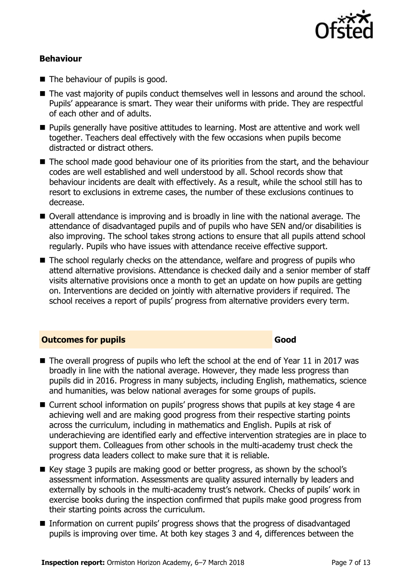

#### **Behaviour**

- The behaviour of pupils is good.
- The vast majority of pupils conduct themselves well in lessons and around the school. Pupils' appearance is smart. They wear their uniforms with pride. They are respectful of each other and of adults.
- **Pupils generally have positive attitudes to learning. Most are attentive and work well** together. Teachers deal effectively with the few occasions when pupils become distracted or distract others.
- The school made good behaviour one of its priorities from the start, and the behaviour codes are well established and well understood by all. School records show that behaviour incidents are dealt with effectively. As a result, while the school still has to resort to exclusions in extreme cases, the number of these exclusions continues to decrease.
- Overall attendance is improving and is broadly in line with the national average. The attendance of disadvantaged pupils and of pupils who have SEN and/or disabilities is also improving. The school takes strong actions to ensure that all pupils attend school regularly. Pupils who have issues with attendance receive effective support.
- The school regularly checks on the attendance, welfare and progress of pupils who attend alternative provisions. Attendance is checked daily and a senior member of staff visits alternative provisions once a month to get an update on how pupils are getting on. Interventions are decided on jointly with alternative providers if required. The school receives a report of pupils' progress from alternative providers every term.

#### **Outcomes for pupils Good**

- $\blacksquare$  The overall progress of pupils who left the school at the end of Year 11 in 2017 was broadly in line with the national average. However, they made less progress than pupils did in 2016. Progress in many subjects, including English, mathematics, science and humanities, was below national averages for some groups of pupils.
- Current school information on pupils' progress shows that pupils at key stage 4 are achieving well and are making good progress from their respective starting points across the curriculum, including in mathematics and English. Pupils at risk of underachieving are identified early and effective intervention strategies are in place to support them. Colleagues from other schools in the multi-academy trust check the progress data leaders collect to make sure that it is reliable.
- Key stage 3 pupils are making good or better progress, as shown by the school's assessment information. Assessments are quality assured internally by leaders and externally by schools in the multi-academy trust's network. Checks of pupils' work in exercise books during the inspection confirmed that pupils make good progress from their starting points across the curriculum.
- Information on current pupils' progress shows that the progress of disadvantaged pupils is improving over time. At both key stages 3 and 4, differences between the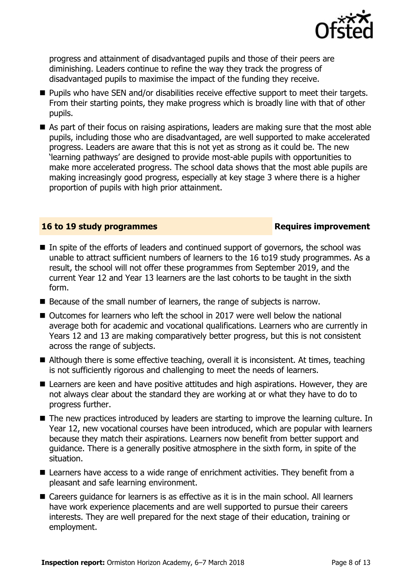

progress and attainment of disadvantaged pupils and those of their peers are diminishing. Leaders continue to refine the way they track the progress of disadvantaged pupils to maximise the impact of the funding they receive.

- **Pupils who have SEN and/or disabilities receive effective support to meet their targets.** From their starting points, they make progress which is broadly line with that of other pupils.
- As part of their focus on raising aspirations, leaders are making sure that the most able pupils, including those who are disadvantaged, are well supported to make accelerated progress. Leaders are aware that this is not yet as strong as it could be. The new 'learning pathways' are designed to provide most-able pupils with opportunities to make more accelerated progress. The school data shows that the most able pupils are making increasingly good progress, especially at key stage 3 where there is a higher proportion of pupils with high prior attainment.

#### **16 to 19 study programmes Requires improvement**

- $\blacksquare$  In spite of the efforts of leaders and continued support of governors, the school was unable to attract sufficient numbers of learners to the 16 to19 study programmes. As a result, the school will not offer these programmes from September 2019, and the current Year 12 and Year 13 learners are the last cohorts to be taught in the sixth form.
- Because of the small number of learners, the range of subjects is narrow.
- Outcomes for learners who left the school in 2017 were well below the national average both for academic and vocational qualifications. Learners who are currently in Years 12 and 13 are making comparatively better progress, but this is not consistent across the range of subjects.
- Although there is some effective teaching, overall it is inconsistent. At times, teaching is not sufficiently rigorous and challenging to meet the needs of learners.
- Learners are keen and have positive attitudes and high aspirations. However, they are not always clear about the standard they are working at or what they have to do to progress further.
- The new practices introduced by leaders are starting to improve the learning culture. In Year 12, new vocational courses have been introduced, which are popular with learners because they match their aspirations. Learners now benefit from better support and guidance. There is a generally positive atmosphere in the sixth form, in spite of the situation.
- Learners have access to a wide range of enrichment activities. They benefit from a pleasant and safe learning environment.
- Careers guidance for learners is as effective as it is in the main school. All learners have work experience placements and are well supported to pursue their careers interests. They are well prepared for the next stage of their education, training or employment.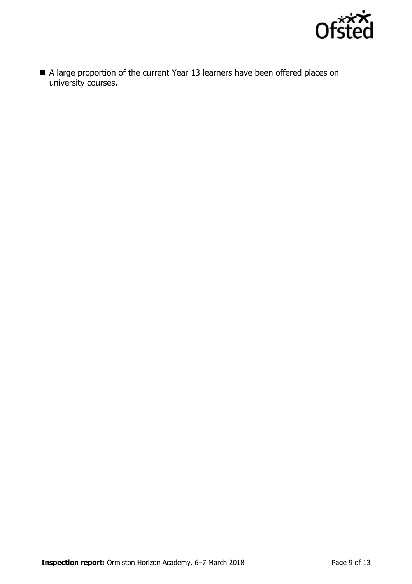

A large proportion of the current Year 13 learners have been offered places on university courses.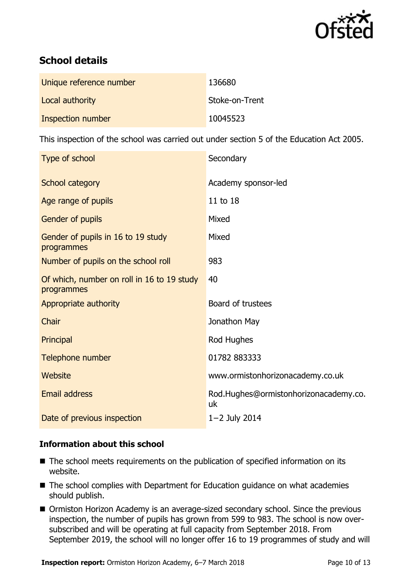

# **School details**

| Unique reference number | 136680         |
|-------------------------|----------------|
| Local authority         | Stoke-on-Trent |
| Inspection number       | 10045523       |

This inspection of the school was carried out under section 5 of the Education Act 2005.

| Type of school                                           | Secondary                                   |
|----------------------------------------------------------|---------------------------------------------|
| <b>School category</b>                                   | Academy sponsor-led                         |
| Age range of pupils                                      | 11 to 18                                    |
| Gender of pupils                                         | Mixed                                       |
| Gender of pupils in 16 to 19 study<br>programmes         | Mixed                                       |
| Number of pupils on the school roll                      | 983                                         |
| Of which, number on roll in 16 to 19 study<br>programmes | 40                                          |
| Appropriate authority                                    | Board of trustees                           |
| Chair                                                    | Jonathon May                                |
| Principal                                                | Rod Hughes                                  |
| Telephone number                                         | 01782 883333                                |
| <b>Website</b>                                           | www.ormistonhorizonacademy.co.uk            |
| <b>Email address</b>                                     | Rod.Hughes@ormistonhorizonacademy.co.<br>uk |
| Date of previous inspection                              | $1 - 2$ July 2014                           |

### **Information about this school**

- The school meets requirements on the publication of specified information on its website.
- The school complies with Department for Education guidance on what academies should publish.
- Ormiston Horizon Academy is an average-sized secondary school. Since the previous inspection, the number of pupils has grown from 599 to 983. The school is now oversubscribed and will be operating at full capacity from September 2018. From September 2019, the school will no longer offer 16 to 19 programmes of study and will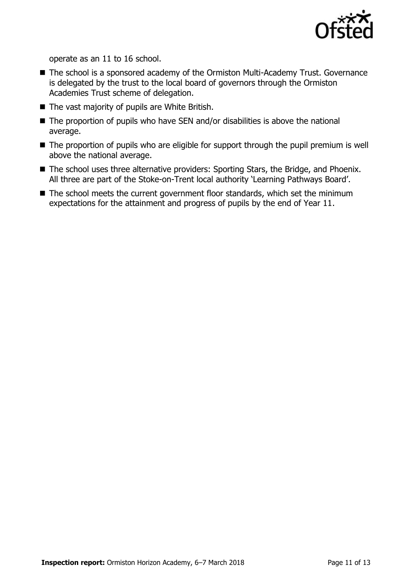

operate as an 11 to 16 school.

- The school is a sponsored academy of the Ormiston Multi-Academy Trust. Governance is delegated by the trust to the local board of governors through the Ormiston Academies Trust scheme of delegation.
- The vast majority of pupils are White British.
- $\blacksquare$  The proportion of pupils who have SEN and/or disabilities is above the national average.
- The proportion of pupils who are eligible for support through the pupil premium is well above the national average.
- The school uses three alternative providers: Sporting Stars, the Bridge, and Phoenix. All three are part of the Stoke-on-Trent local authority 'Learning Pathways Board'.
- The school meets the current government floor standards, which set the minimum expectations for the attainment and progress of pupils by the end of Year 11.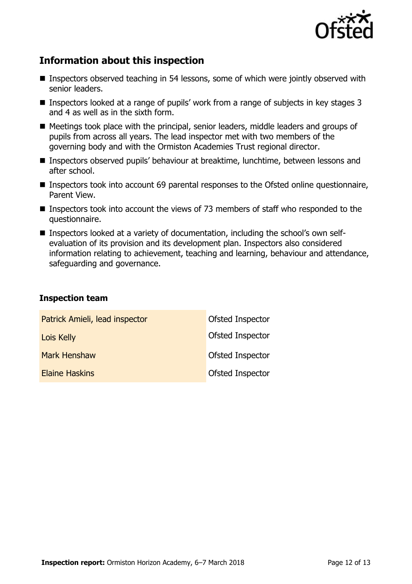

## **Information about this inspection**

- Inspectors observed teaching in 54 lessons, some of which were jointly observed with senior leaders.
- Inspectors looked at a range of pupils' work from a range of subjects in key stages 3 and 4 as well as in the sixth form.
- Meetings took place with the principal, senior leaders, middle leaders and groups of pupils from across all years. The lead inspector met with two members of the governing body and with the Ormiston Academies Trust regional director.
- Inspectors observed pupils' behaviour at breaktime, lunchtime, between lessons and after school.
- Inspectors took into account 69 parental responses to the Ofsted online questionnaire, Parent View.
- Inspectors took into account the views of 73 members of staff who responded to the questionnaire.
- Inspectors looked at a variety of documentation, including the school's own selfevaluation of its provision and its development plan. Inspectors also considered information relating to achievement, teaching and learning, behaviour and attendance, safeguarding and governance.

#### **Inspection team**

| Patrick Amieli, lead inspector | Ofsted Inspector |
|--------------------------------|------------------|
| Lois Kelly                     | Ofsted Inspector |
| <b>Mark Henshaw</b>            | Ofsted Inspector |
| <b>Elaine Haskins</b>          | Ofsted Inspector |